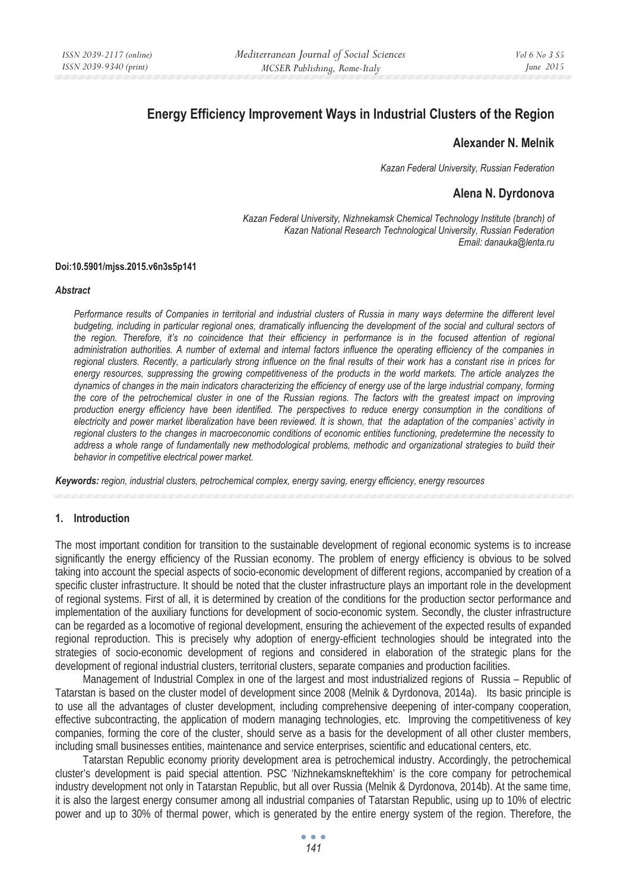# **Energy Efficiency Improvement Ways in Industrial Clusters of the Region**

## **Alexander N. Melnik**

*Kazan Federal University, Russian Federation* 

## **Alena N. Dyrdonova**

*Kazan Federal University, Nizhnekamsk Chemical Technology Institute (branch) of Kazan National Research Technological University, Russian Federation Email: danauka@lenta.ru* 

#### **Doi:10.5901/mjss.2015.v6n3s5p141**

#### *Abstract*

*Performance results of Companies in territorial and industrial clusters of Russia in many ways determine the different level budgeting, including in particular regional ones, dramatically influencing the development of the social and cultural sectors of the region. Therefore, it's no coincidence that their efficiency in performance is in the focused attention of regional administration authorities. A number of external and internal factors influence the operating efficiency of the companies in regional clusters. Recently, a particularly strong influence on the final results of their work has a constant rise in prices for energy resources, suppressing the growing competitiveness of the products in the world markets. The article analyzes the dynamics of changes in the main indicators characterizing the efficiency of energy use of the large industrial company, forming the core of the petrochemical cluster in one of the Russian regions. The factors with the greatest impact on improving production energy efficiency have been identified. The perspectives to reduce energy consumption in the conditions of electricity and power market liberalization have been reviewed. It is shown, that the adaptation of the companies' activity in regional clusters to the changes in macroeconomic conditions of economic entities functioning, predetermine the necessity to address a whole range of fundamentally new methodological problems, methodic and organizational strategies to build their behavior in competitive electrical power market.* 

*Keywords: region, industrial clusters, petrochemical complex, energy saving, energy efficiency, energy resources*

#### **1. Introduction**

The most important condition for transition to the sustainable development of regional economic systems is to increase significantly the energy efficiency of the Russian economy. The problem of energy efficiency is obvious to be solved taking into account the special aspects of socio-economic development of different regions, accompanied by creation of a specific cluster infrastructure. It should be noted that the cluster infrastructure plays an important role in the development of regional systems. First of all, it is determined by creation of the conditions for the production sector performance and implementation of the auxiliary functions for development of socio-economic system. Secondly, the cluster infrastructure can be regarded as a locomotive of regional development, ensuring the achievement of the expected results of expanded regional reproduction. This is precisely why adoption of energy-efficient technologies should be integrated into the strategies of socio-economic development of regions and considered in elaboration of the strategic plans for the development of regional industrial clusters, territorial clusters, separate companies and production facilities.

Management of Industrial Complex in one of the largest and most industrialized regions of Russia – Republic of Tatarstan is based on the cluster model of development since 2008 (Melnik & Dyrdonova, 2014a). Its basic principle is to use all the advantages of cluster development, including comprehensive deepening of inter-company cooperation, effective subcontracting, the application of modern managing technologies, etc. Improving the competitiveness of key companies, forming the core of the cluster, should serve as a basis for the development of all other cluster members, including small businesses entities, maintenance and service enterprises, scientific and educational centers, etc.

Tatarstan Republic economy priority development area is petrochemical industry. Accordingly, the petrochemical cluster's development is paid special attention. PSC 'Nizhnekamskneftekhim' is the core company for petrochemical industry development not only in Tatarstan Republic, but all over Russia (Melnik & Dyrdonova, 2014b). At the same time, it is also the largest energy consumer among all industrial companies of Tatarstan Republic, using up to 10% of electric power and up to 30% of thermal power, which is generated by the entire energy system of the region. Therefore, the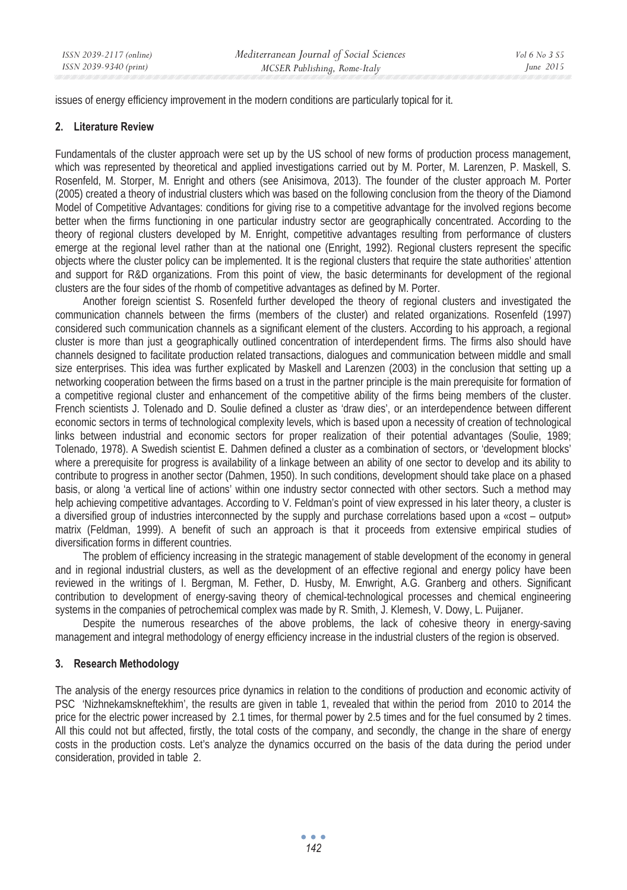issues of energy efficiency improvement in the modern conditions are particularly topical for it.

### **2. Literature Review**

Fundamentals of the cluster approach were set up by the US school of new forms of production process management, which was represented by theoretical and applied investigations carried out by M. Porter, M. Larenzen, P. Maskell, S. Rosenfeld, M. Storper, M. Enright and others (see Anisimova, 2013). The founder of the cluster approach M. Porter (2005) created a theory of industrial clusters which was based on the following conclusion from the theory of the Diamond Model of Competitive Advantages: conditions for giving rise to a competitive advantage for the involved regions become better when the firms functioning in one particular industry sector are geographically concentrated. According to the theory of regional clusters developed by M. Enright, competitive advantages resulting from performance of clusters emerge at the regional level rather than at the national one (Enright, 1992). Regional clusters represent the specific objects where the cluster policy can be implemented. It is the regional clusters that require the state authorities' attention and support for R&D organizations. From this point of view, the basic determinants for development of the regional clusters are the four sides of the rhomb of competitive advantages as defined by M. Porter.

Another foreign scientist S. Rosenfeld further developed the theory of regional clusters and investigated the communication channels between the firms (members of the cluster) and related organizations. Rosenfeld (1997) considered such communication channels as a significant element of the clusters. According to his approach, a regional cluster is more than just a geographically outlined concentration of interdependent firms. The firms also should have channels designed to facilitate production related transactions, dialogues and communication between middle and small size enterprises. This idea was further explicated by Maskell and Larenzen (2003) in the conclusion that setting up a networking cooperation between the firms based on a trust in the partner principle is the main prerequisite for formation of a competitive regional cluster and enhancement of the competitive ability of the firms being members of the cluster. French scientists J. Tolenado and D. Soulie defined a cluster as 'draw dies', or an interdependence between different economic sectors in terms of technological complexity levels, which is based upon a necessity of creation of technological links between industrial and economic sectors for proper realization of their potential advantages (Soulie, 1989; Tolenado, 1978). A Swedish scientist E. Dahmen defined a cluster as a combination of sectors, or 'development blocks' where a prerequisite for progress is availability of a linkage between an ability of one sector to develop and its ability to contribute to progress in another sector (Dahmen, 1950). In such conditions, development should take place on a phased basis, or along 'a vertical line of actions' within one industry sector connected with other sectors. Such a method may help achieving competitive advantages. According to V. Feldman's point of view expressed in his later theory, a cluster is a diversified group of industries interconnected by the supply and purchase correlations based upon a «cost – output» matrix (Feldman, 1999). A benefit of such an approach is that it proceeds from extensive empirical studies of diversification forms in different countries.

The problem of efficiency increasing in the strategic management of stable development of the economy in general and in regional industrial clusters, as well as the development of an effective regional and energy policy have been reviewed in the writings of I. Bergman, M. Fether, D. Husby, M. Enwright, A.G. Granberg and others. Significant contribution to development of energy-saving theory of chemical-technological processes and chemical engineering systems in the companies of petrochemical complex was made by R. Smith, J. Klemesh, V. Dowy, L. Puijaner.

Despite the numerous researches of the above problems, the lack of cohesive theory in energy-saving management and integral methodology of energy efficiency increase in the industrial clusters of the region is observed.

## **3. Research Methodology**

The analysis of the energy resources price dynamics in relation to the conditions of production and economic activity of PSC 'Nizhnekamskneftekhim', the results are given in table 1, revealed that within the period from 2010 to 2014 the price for the electric power increased by 2.1 times, for thermal power by 2.5 times and for the fuel consumed by 2 times. All this could not but affected, firstly, the total costs of the company, and secondly, the change in the share of energy costs in the production costs. Let's analyze the dynamics occurred on the basis of the data during the period under consideration, provided in table 2.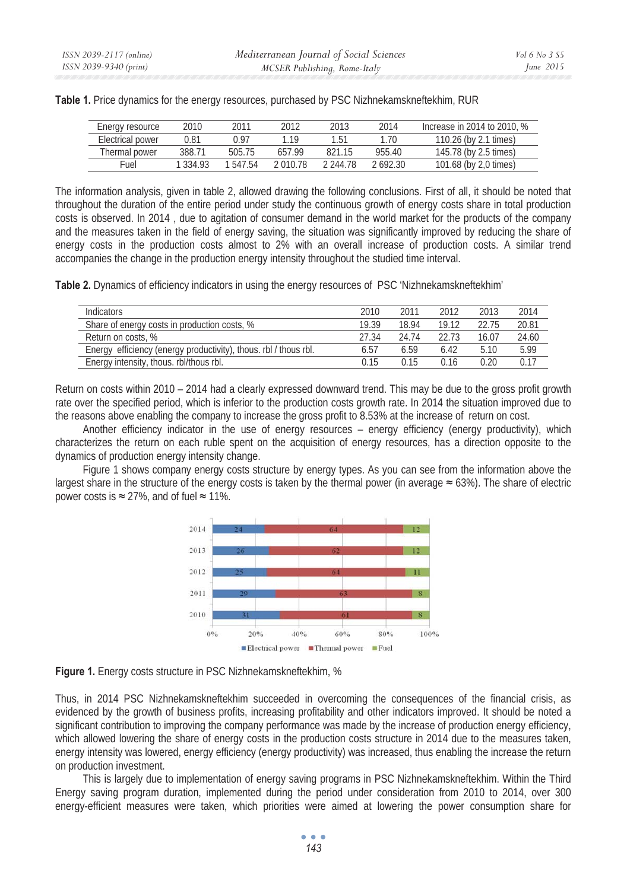| Energy resource  | 2010     | 2011     | 2012     | 2013      | 2014    | Increase in 2014 to 2010, % |
|------------------|----------|----------|----------|-----------|---------|-----------------------------|
| Electrical power | 0.81     | ነ 97     | l 19     | 1 51      | 1.70    | 110.26 (by 2.1 times)       |
| Thermal power    | 388.71   | 505.75   | 657.99   | 821 15    | 955.40  | 145.78 (by 2.5 times)       |
| Fuel             | 1 334 93 | 1 547 54 | 2 በ1በ 78 | 2 244.78. | 2692.30 | 101.68 (by 2,0 times)       |

**Table 1.** Price dynamics for the energy resources, purchased by PSC Nizhnekamskneftekhim, RUR

The information analysis, given in table 2, allowed drawing the following conclusions. First of all, it should be noted that throughout the duration of the entire period under study the continuous growth of energy costs share in total production costs is observed. In 2014 , due to agitation of consumer demand in the world market for the products of the company and the measures taken in the field of energy saving, the situation was significantly improved by reducing the share of energy costs in the production costs almost to 2% with an overall increase of production costs. A similar trend accompanies the change in the production energy intensity throughout the studied time interval.

**Table 2.** Dynamics of efficiency indicators in using the energy resources of PSC 'Nizhnekamskneftekhim'

| Indicators                                                       | 2010  | 2011           | 2012  | 2013  | 2014  |
|------------------------------------------------------------------|-------|----------------|-------|-------|-------|
| Share of energy costs in production costs, %                     | 19.39 | 18.94          | 19 12 | 2275  | 20.81 |
| Return on costs, %                                               | 27.34 | 24 74          | 22.73 | 16.07 | 24.60 |
| Energy efficiency (energy productivity), thous. rbl / thous rbl. | 6.57  | 659            | 6 42  | 5.10  | 5.99  |
| Energy intensity, thous. rbl/thous rbl.                          | N 15  | $^{\circ}$ 15. | ገ 16  | ) 20  |       |

Return on costs within 2010 – 2014 had a clearly expressed downward trend. This may be due to the gross profit growth rate over the specified period, which is inferior to the production costs growth rate. In 2014 the situation improved due to the reasons above enabling the company to increase the gross profit to 8.53% at the increase of return on cost.

Another efficiency indicator in the use of energy resources – energy efficiency (energy productivity), which characterizes the return on each ruble spent on the acquisition of energy resources, has a direction opposite to the dynamics of production energy intensity change.

Figure 1 shows company energy costs structure by energy types. As you can see from the information above the largest share in the structure of the energy costs is taken by the thermal power (in average  $\approx 63\%$ ). The share of electric power costs is  $\approx$  27%, and of fuel  $\approx$  11%.



**Figure 1.** Energy costs structure in PSC Nizhnekamskneftekhim, %

Thus, in 2014 PSC Nizhnekamskneftekhim succeeded in overcoming the consequences of the financial crisis, as evidenced by the growth of business profits, increasing profitability and other indicators improved. It should be noted a significant contribution to improving the company performance was made by the increase of production energy efficiency, which allowed lowering the share of energy costs in the production costs structure in 2014 due to the measures taken, energy intensity was lowered, energy efficiency (energy productivity) was increased, thus enabling the increase the return on production investment.

This is largely due to implementation of energy saving programs in PSC Nizhnekamskneftekhim. Within the Third Energy saving program duration, implemented during the period under consideration from 2010 to 2014, over 300 energy-efficient measures were taken, which priorities were aimed at lowering the power consumption share for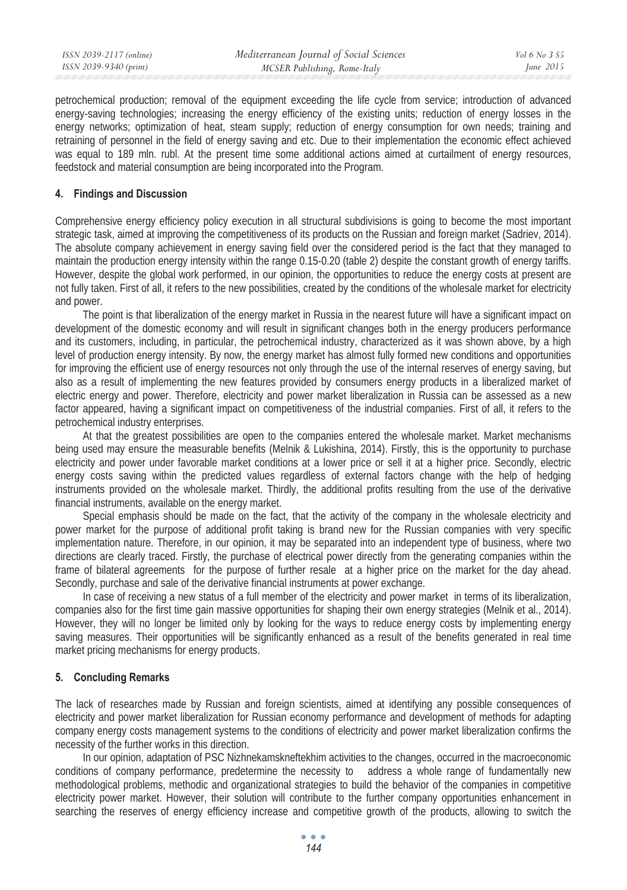| ISSN 2039-2117 (online) | Mediterranean Journal of Social Sciences | Vol 6 No. 3 S5 |
|-------------------------|------------------------------------------|----------------|
| ISSN 2039-9340 (print)  | MCSER Publishing, Rome-Italy             | June 2015      |
|                         |                                          |                |

petrochemical production; removal of the equipment exceeding the life cycle from service; introduction of advanced energy-saving technologies; increasing the energy efficiency of the existing units; reduction of energy losses in the energy networks; optimization of heat, steam supply; reduction of energy consumption for own needs; training and retraining of personnel in the field of energy saving and etc. Due to their implementation the economic effect achieved was equal to 189 mln. rubl. At the present time some additional actions aimed at curtailment of energy resources, feedstock and material consumption are being incorporated into the Program.

### **4. Findings and Discussion**

Comprehensive energy efficiency policy execution in all structural subdivisions is going to become the most important strategic task, aimed at improving the competitiveness of its products on the Russian and foreign market (Sadriev, 2014). The absolute company achievement in energy saving field over the considered period is the fact that they managed to maintain the production energy intensity within the range 0.15-0.20 (table 2) despite the constant growth of energy tariffs. However, despite the global work performed, in our opinion, the opportunities to reduce the energy costs at present are not fully taken. First of all, it refers to the new possibilities, created by the conditions of the wholesale market for electricity and power.

The point is that liberalization of the energy market in Russia in the nearest future will have a significant impact on development of the domestic economy and will result in significant changes both in the energy producers performance and its customers, including, in particular, the petrochemical industry, characterized as it was shown above, by a high level of production energy intensity. By now, the energy market has almost fully formed new conditions and opportunities for improving the efficient use of energy resources not only through the use of the internal reserves of energy saving, but also as a result of implementing the new features provided by consumers energy products in a liberalized market of electric energy and power. Therefore, electricity and power market liberalization in Russia can be assessed as a new factor appeared, having a significant impact on competitiveness of the industrial companies. First of all, it refers to the petrochemical industry enterprises.

At that the greatest possibilities are open to the companies entered the wholesale market. Market mechanisms being used may ensure the measurable benefits (Melnik & Lukishina, 2014). Firstly, this is the opportunity to purchase electricity and power under favorable market conditions at a lower price or sell it at a higher price. Secondly, electric energy costs saving within the predicted values regardless of external factors change with the help of hedging instruments provided on the wholesale market. Thirdly, the additional profits resulting from the use of the derivative financial instruments, available on the energy market.

Special emphasis should be made on the fact, that the activity of the company in the wholesale electricity and power market for the purpose of additional profit taking is brand new for the Russian companies with very specific implementation nature. Therefore, in our opinion, it may be separated into an independent type of business, where two directions are clearly traced. Firstly, the purchase of electrical power directly from the generating companies within the frame of bilateral agreements for the purpose of further resale at a higher price on the market for the day ahead. Secondly, purchase and sale of the derivative financial instruments at power exchange.

In case of receiving a new status of a full member of the electricity and power market in terms of its liberalization, companies also for the first time gain massive opportunities for shaping their own energy strategies (Melnik et al., 2014). However, they will no longer be limited only by looking for the ways to reduce energy costs by implementing energy saving measures. Their opportunities will be significantly enhanced as a result of the benefits generated in real time market pricing mechanisms for energy products.

### **5. Concluding Remarks**

The lack of researches made by Russian and foreign scientists, aimed at identifying any possible consequences of electricity and power market liberalization for Russian economy performance and development of methods for adapting company energy costs management systems to the conditions of electricity and power market liberalization confirms the necessity of the further works in this direction.

In our opinion, adaptation of PSC Nizhnekamskneftekhim activities to the changes, occurred in the macroeconomic conditions of company performance, predetermine the necessity to address a whole range of fundamentally new methodological problems, methodic and organizational strategies to build the behavior of the companies in competitive electricity power market. However, their solution will contribute to the further company opportunities enhancement in searching the reserves of energy efficiency increase and competitive growth of the products, allowing to switch the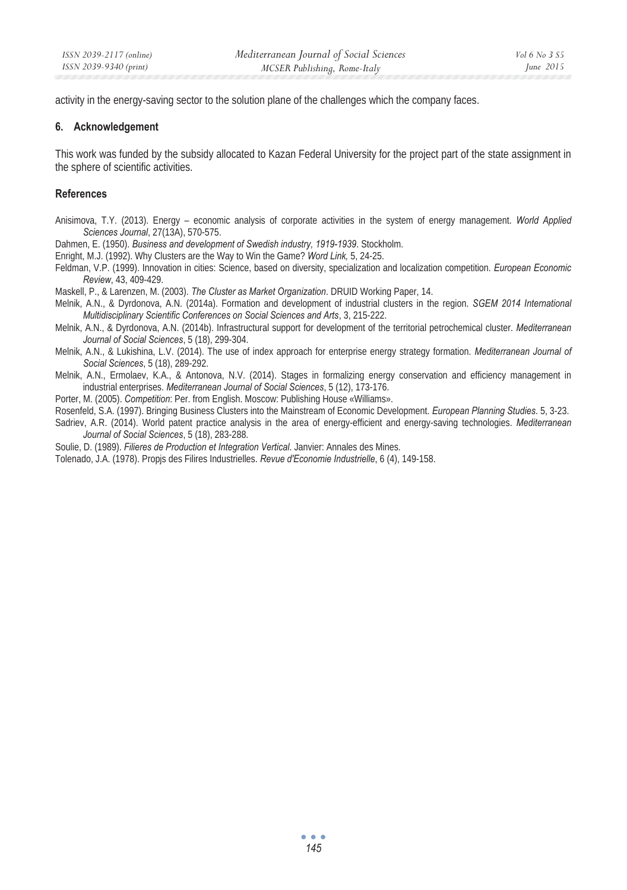activity in the energy-saving sector to the solution plane of the challenges which the company faces.

### **6. Acknowledgement**

This work was funded by the subsidy allocated to Kazan Federal University for the project part of the state assignment in the sphere of scientific activities.

### **References**

- Anisimova, T.Y. (2013). Energy economic analysis of corporate activities in the system of energy management. *World Applied Sciences Journal*, 27(13A), 570-575.
- Dahmen, E. (1950). *Business and development of Swedish industry, 1919-1939*. Stockholm.
- Enright, M.J. (1992). Why Clusters are the Way to Win the Game? *Word Link,* 5, 24-25.
- Feldman, V.P. (1999). Innovation in cities: Science, based on diversity, specialization and localization competition. *European Economic Review*, 43, 409-429.
- Maskell, P., & Larenzen, M. (2003). *The Cluster as Market Organization*. DRUID Working Paper, 14.
- Melnik, A.N., & Dyrdonova, A.N. (2014a). Formation and development of industrial clusters in the region. *SGEM 2014 International Multidisciplinary Scientific Conferences on Social Sciences and Arts*, 3, 215-222.
- Melnik, A.N., & Dyrdonova, A.N. (2014b). Infrastructural support for development of the territorial petrochemical cluster. *Mediterranean Journal of Social Sciences*, 5 (18), 299-304.
- Melnik, A.N., & Lukishina, L.V. (2014). The use of index approach for enterprise energy strategy formation. *Mediterranean Journal of Social Sciences*, 5 (18), 289-292.
- Melnik, A.N., Ermolaev, K.A., & Antonova, N.V. (2014). Stages in formalizing energy conservation and efficiency management in industrial enterprises. *Mediterranean Journal of Social Sciences*, 5 (12), 173-176.
- Porter, M. (2005). *Competition*: Per. from English. Moscow: Publishing House «Williams».
- Rosenfeld, S.A. (1997). Bringing Business Clusters into the Mainstream of Economic Development. *European Planning Studies*. 5, 3-23.
- Sadriev, A.R. (2014). World patent practice analysis in the area of energy-efficient and energy-saving technologies. *Mediterranean Journal of Social Sciences*, 5 (18), 283-288.
- Soulie, D. (1989). *Filieres de Production et Integration Vertical*. Janvier: Annales des Mines.
- Tolenado, J.A. (1978). Propjs des Filires Industrielles. *Revue d'Economie Industrielle*, 6 (4), 149-158.